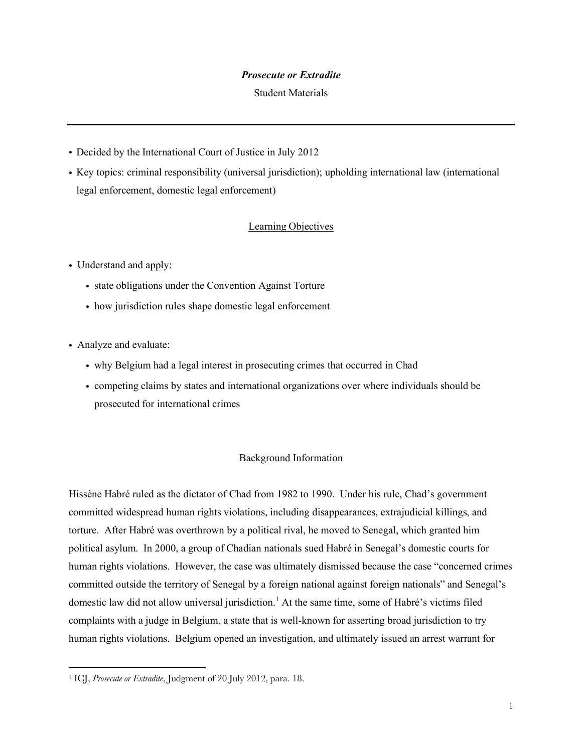### *Prosecute or Extradite*

#### Student Materials

- ! Decided by the International Court of Justice in July 2012
- ! Key topics: criminal responsibility (universal jurisdiction); upholding international law (international legal enforcement, domestic legal enforcement)

# Learning Objectives

- Understand and apply:
	- ! state obligations under the Convention Against Torture
	- ! how jurisdiction rules shape domestic legal enforcement
- ! Analyze and evaluate:
	- ! why Belgium had a legal interest in prosecuting crimes that occurred in Chad
	- ! competing claims by states and international organizations over where individuals should be prosecuted for international crimes

# Background Information

Hissène Habré ruled as the dictator of Chad from 1982 to 1990. Under his rule, Chad's government committed widespread human rights violations, including disappearances, extrajudicial killings, and torture. After Habré was overthrown by a political rival, he moved to Senegal, which granted him political asylum. In 2000, a group of Chadian nationals sued Habré in Senegal's domestic courts for human rights violations. However, the case was ultimately dismissed because the case "concerned crimes committed outside the territory of Senegal by a foreign national against foreign nationals" and Senegal's domestic law did not allow universal jurisdiction.<sup>1</sup> At the same time, some of Habré's victims filed complaints with a judge in Belgium, a state that is well-known for asserting broad jurisdiction to try human rights violations. Belgium opened an investigation, and ultimately issued an arrest warrant for

<sup>1</sup> ICJ, *Prosecute or Extradite*, Judgment of 20 July 2012, para. 18.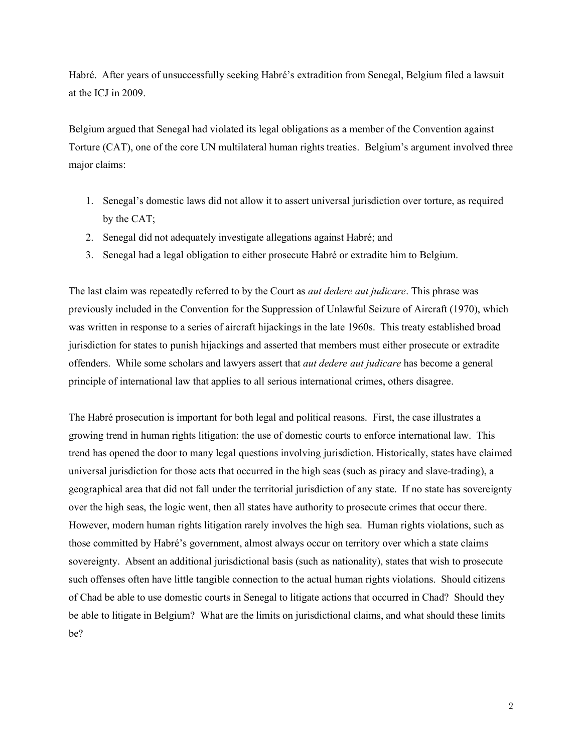Habré. After years of unsuccessfully seeking Habré's extradition from Senegal, Belgium filed a lawsuit at the ICJ in 2009.

Belgium argued that Senegal had violated its legal obligations as a member of the Convention against Torture (CAT), one of the core UN multilateral human rights treaties. Belgium's argument involved three major claims:

- 1. Senegal's domestic laws did not allow it to assert universal jurisdiction over torture, as required by the CAT;
- 2. Senegal did not adequately investigate allegations against Habré; and
- 3. Senegal had a legal obligation to either prosecute Habré or extradite him to Belgium.

The last claim was repeatedly referred to by the Court as *aut dedere aut judicare*. This phrase was previously included in the Convention for the Suppression of Unlawful Seizure of Aircraft (1970), which was written in response to a series of aircraft hijackings in the late 1960s. This treaty established broad jurisdiction for states to punish hijackings and asserted that members must either prosecute or extradite offenders. While some scholars and lawyers assert that *aut dedere aut judicare* has become a general principle of international law that applies to all serious international crimes, others disagree.

The Habré prosecution is important for both legal and political reasons. First, the case illustrates a growing trend in human rights litigation: the use of domestic courts to enforce international law. This trend has opened the door to many legal questions involving jurisdiction. Historically, states have claimed universal jurisdiction for those acts that occurred in the high seas (such as piracy and slave-trading), a geographical area that did not fall under the territorial jurisdiction of any state. If no state has sovereignty over the high seas, the logic went, then all states have authority to prosecute crimes that occur there. However, modern human rights litigation rarely involves the high sea. Human rights violations, such as those committed by Habré's government, almost always occur on territory over which a state claims sovereignty. Absent an additional jurisdictional basis (such as nationality), states that wish to prosecute such offenses often have little tangible connection to the actual human rights violations. Should citizens of Chad be able to use domestic courts in Senegal to litigate actions that occurred in Chad? Should they be able to litigate in Belgium? What are the limits on jurisdictional claims, and what should these limits be?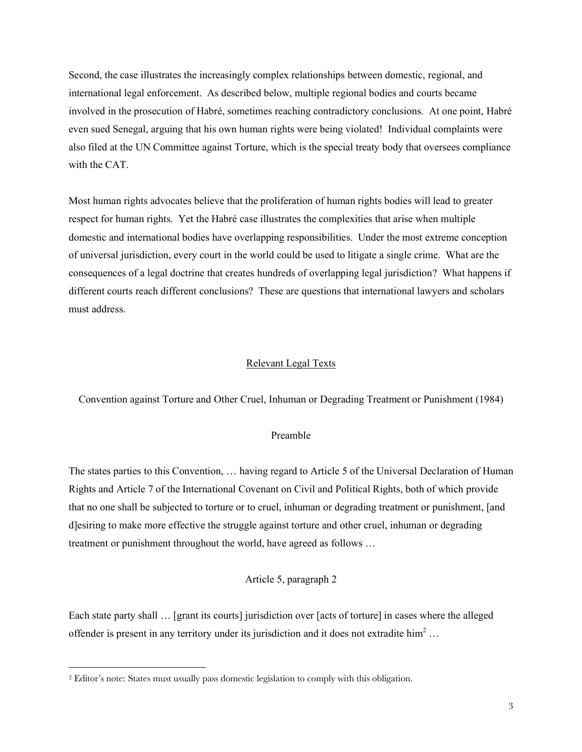Second, the case illustrates the increasingly complex relationships between domestic, regional, and international legal enforcement. As described below, multiple regional bodies and courts became involved in the prosecution of Habré, sometimes reaching contradictory conclusions. At one point, Habré even sued Senegal, arguing that his own human rights were being violated! Individual complaints were also filed at the UN Committee against Torture, which is the special treaty body that oversees compliance with the CAT.

Most human rights advocates believe that the proliferation of human rights bodies will lead to greater respect for human rights. Yet the Habré case illustrates the complexities that arise when multiple domestic and international bodies have overlapping responsibilities. Under the most extreme conception of universal jurisdiction, every court in the world could be used to litigate a single crime. What are the consequences of a legal doctrine that creates hundreds of overlapping legal jurisdiction? What happens if different courts reach different conclusions? These are questions that international lawyers and scholars must address.

#### Relevant Legal Texts

Convention against Torture and Other Cruel, Inhuman or Degrading Treatment or Punishment (1984)

### Preamble

The states parties to this Convention, … having regard to Article 5 of the Universal Declaration of Human Rights and Article 7 of the International Covenant on Civil and Political Rights, both of which provide that no one shall be subjected to torture or to cruel, inhuman or degrading treatment or punishment, [and d]esiring to make more effective the struggle against torture and other cruel, inhuman or degrading treatment or punishment throughout the world, have agreed as follows …

# Article 5, paragraph 2

Each state party shall … [grant its courts] jurisdiction over [acts of torture] in cases where the alleged offender is present in any territory under its jurisdiction and it does not extradite him<sup>2</sup> ...

<sup>2</sup> Editor's note: States must usually pass domestic legislation to comply with this obligation.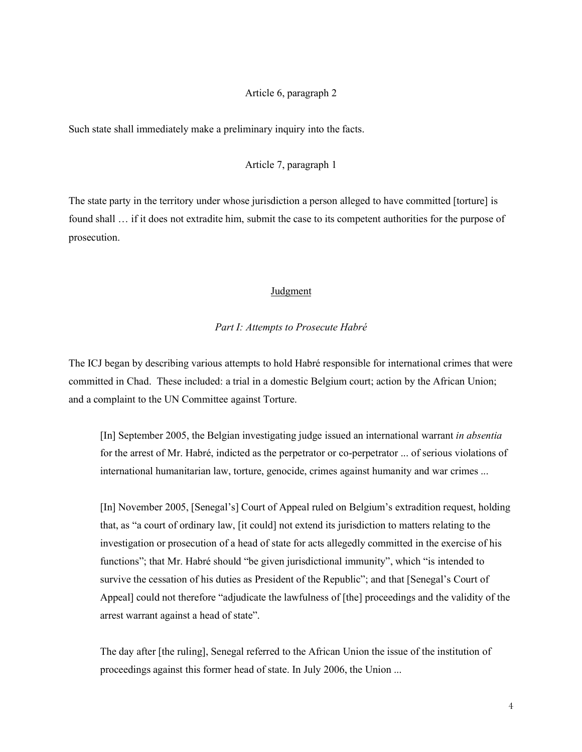#### Article 6, paragraph 2

Such state shall immediately make a preliminary inquiry into the facts.

## Article 7, paragraph 1

The state party in the territory under whose jurisdiction a person alleged to have committed [torture] is found shall … if it does not extradite him, submit the case to its competent authorities for the purpose of prosecution.

### Judgment

#### *Part I: Attempts to Prosecute Habré*

The ICJ began by describing various attempts to hold Habré responsible for international crimes that were committed in Chad. These included: a trial in a domestic Belgium court; action by the African Union; and a complaint to the UN Committee against Torture.

[In] September 2005, the Belgian investigating judge issued an international warrant *in absentia* for the arrest of Mr. Habré, indicted as the perpetrator or co-perpetrator ... of serious violations of international humanitarian law, torture, genocide, crimes against humanity and war crimes ...

[In] November 2005, [Senegal's] Court of Appeal ruled on Belgium's extradition request, holding that, as "a court of ordinary law, [it could] not extend its jurisdiction to matters relating to the investigation or prosecution of a head of state for acts allegedly committed in the exercise of his functions"; that Mr. Habré should "be given jurisdictional immunity", which "is intended to survive the cessation of his duties as President of the Republic"; and that [Senegal's Court of Appeal] could not therefore "adjudicate the lawfulness of [the] proceedings and the validity of the arrest warrant against a head of state".

The day after [the ruling], Senegal referred to the African Union the issue of the institution of proceedings against this former head of state. In July 2006, the Union ...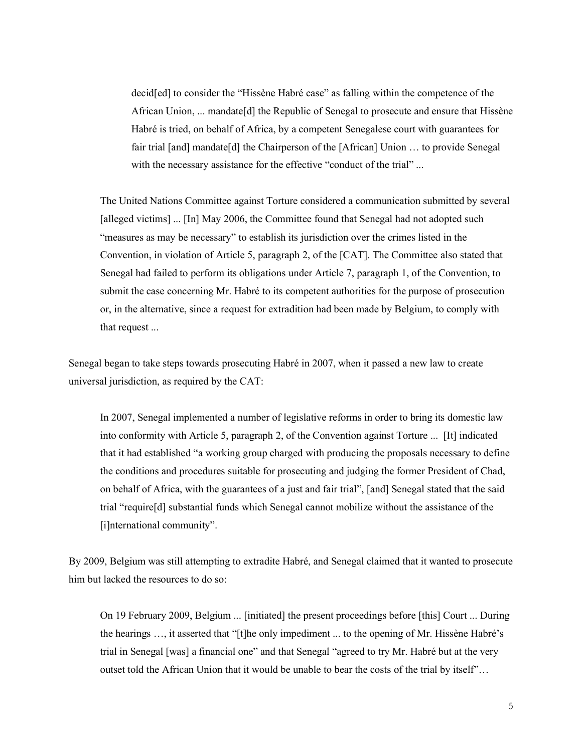decid[ed] to consider the "Hissène Habré case" as falling within the competence of the African Union, ... mandate[d] the Republic of Senegal to prosecute and ensure that Hissène Habré is tried, on behalf of Africa, by a competent Senegalese court with guarantees for fair trial [and] mandate[d] the Chairperson of the [African] Union … to provide Senegal with the necessary assistance for the effective "conduct of the trial" ...

The United Nations Committee against Torture considered a communication submitted by several [alleged victims] ... [In] May 2006, the Committee found that Senegal had not adopted such "measures as may be necessary" to establish its jurisdiction over the crimes listed in the Convention, in violation of Article 5, paragraph 2, of the [CAT]. The Committee also stated that Senegal had failed to perform its obligations under Article 7, paragraph 1, of the Convention, to submit the case concerning Mr. Habré to its competent authorities for the purpose of prosecution or, in the alternative, since a request for extradition had been made by Belgium, to comply with that request ...

Senegal began to take steps towards prosecuting Habré in 2007, when it passed a new law to create universal jurisdiction, as required by the CAT:

In 2007, Senegal implemented a number of legislative reforms in order to bring its domestic law into conformity with Article 5, paragraph 2, of the Convention against Torture ... [It] indicated that it had established "a working group charged with producing the proposals necessary to define the conditions and procedures suitable for prosecuting and judging the former President of Chad, on behalf of Africa, with the guarantees of a just and fair trial", [and] Senegal stated that the said trial "require[d] substantial funds which Senegal cannot mobilize without the assistance of the [i]nternational community".

By 2009, Belgium was still attempting to extradite Habré, and Senegal claimed that it wanted to prosecute him but lacked the resources to do so:

On 19 February 2009, Belgium ... [initiated] the present proceedings before [this] Court ... During the hearings …, it asserted that "[t]he only impediment ... to the opening of Mr. Hissène Habré's trial in Senegal [was] a financial one" and that Senegal "agreed to try Mr. Habré but at the very outset told the African Union that it would be unable to bear the costs of the trial by itself"…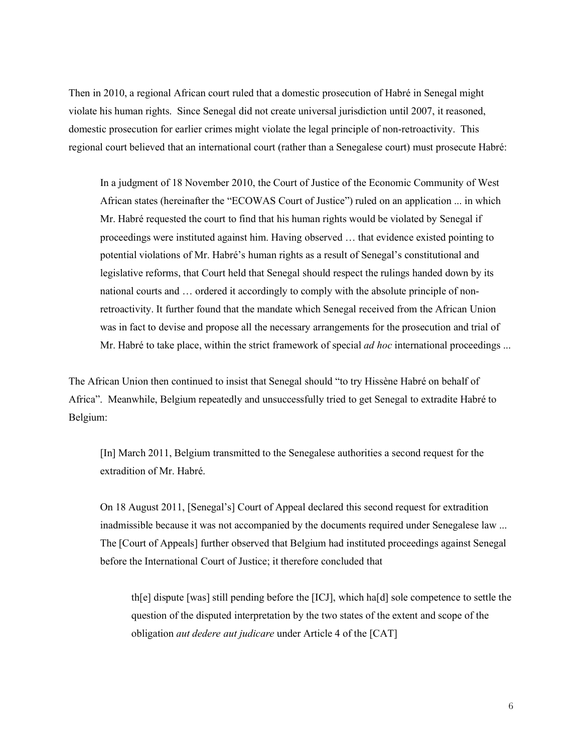Then in 2010, a regional African court ruled that a domestic prosecution of Habré in Senegal might violate his human rights. Since Senegal did not create universal jurisdiction until 2007, it reasoned, domestic prosecution for earlier crimes might violate the legal principle of non-retroactivity. This regional court believed that an international court (rather than a Senegalese court) must prosecute Habré:

In a judgment of 18 November 2010, the Court of Justice of the Economic Community of West African states (hereinafter the "ECOWAS Court of Justice") ruled on an application ... in which Mr. Habré requested the court to find that his human rights would be violated by Senegal if proceedings were instituted against him. Having observed … that evidence existed pointing to potential violations of Mr. Habré's human rights as a result of Senegal's constitutional and legislative reforms, that Court held that Senegal should respect the rulings handed down by its national courts and … ordered it accordingly to comply with the absolute principle of nonretroactivity. It further found that the mandate which Senegal received from the African Union was in fact to devise and propose all the necessary arrangements for the prosecution and trial of Mr. Habré to take place, within the strict framework of special *ad hoc* international proceedings ...

The African Union then continued to insist that Senegal should "to try Hissène Habré on behalf of Africa". Meanwhile, Belgium repeatedly and unsuccessfully tried to get Senegal to extradite Habré to Belgium:

[In] March 2011, Belgium transmitted to the Senegalese authorities a second request for the extradition of Mr. Habré.

On 18 August 2011, [Senegal's] Court of Appeal declared this second request for extradition inadmissible because it was not accompanied by the documents required under Senegalese law ... The [Court of Appeals] further observed that Belgium had instituted proceedings against Senegal before the International Court of Justice; it therefore concluded that

th[e] dispute [was] still pending before the [ICJ], which ha[d] sole competence to settle the question of the disputed interpretation by the two states of the extent and scope of the obligation *aut dedere aut judicare* under Article 4 of the [CAT]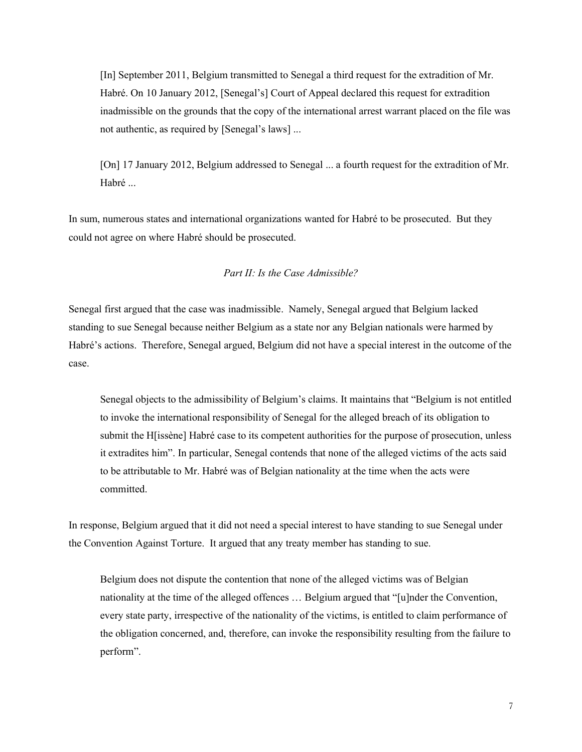[In] September 2011, Belgium transmitted to Senegal a third request for the extradition of Mr. Habré. On 10 January 2012, [Senegal's] Court of Appeal declared this request for extradition inadmissible on the grounds that the copy of the international arrest warrant placed on the file was not authentic, as required by [Senegal's laws] ...

[On] 17 January 2012, Belgium addressed to Senegal ... a fourth request for the extradition of Mr. Habré ...

In sum, numerous states and international organizations wanted for Habré to be prosecuted. But they could not agree on where Habré should be prosecuted.

# *Part II: Is the Case Admissible?*

Senegal first argued that the case was inadmissible. Namely, Senegal argued that Belgium lacked standing to sue Senegal because neither Belgium as a state nor any Belgian nationals were harmed by Habré's actions. Therefore, Senegal argued, Belgium did not have a special interest in the outcome of the case.

Senegal objects to the admissibility of Belgium's claims. It maintains that "Belgium is not entitled to invoke the international responsibility of Senegal for the alleged breach of its obligation to submit the H[issène] Habré case to its competent authorities for the purpose of prosecution, unless it extradites him". In particular, Senegal contends that none of the alleged victims of the acts said to be attributable to Mr. Habré was of Belgian nationality at the time when the acts were committed.

In response, Belgium argued that it did not need a special interest to have standing to sue Senegal under the Convention Against Torture. It argued that any treaty member has standing to sue.

Belgium does not dispute the contention that none of the alleged victims was of Belgian nationality at the time of the alleged offences … Belgium argued that "[u]nder the Convention, every state party, irrespective of the nationality of the victims, is entitled to claim performance of the obligation concerned, and, therefore, can invoke the responsibility resulting from the failure to perform".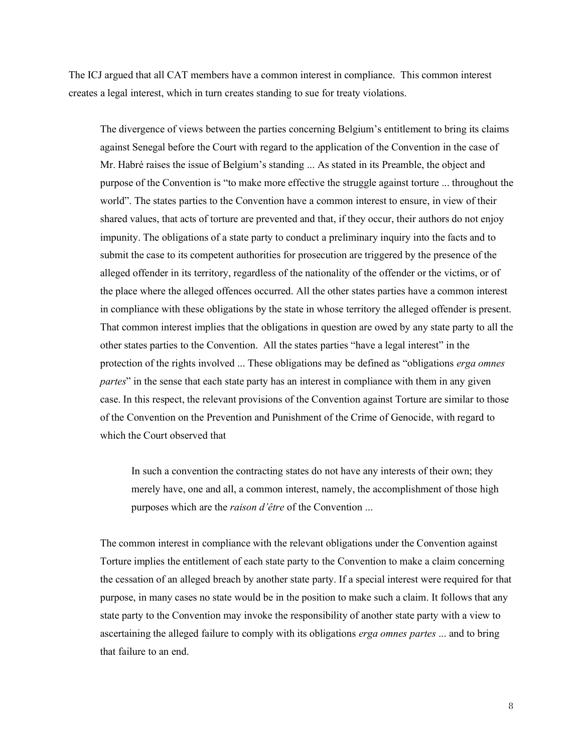The ICJ argued that all CAT members have a common interest in compliance. This common interest creates a legal interest, which in turn creates standing to sue for treaty violations.

The divergence of views between the parties concerning Belgium's entitlement to bring its claims against Senegal before the Court with regard to the application of the Convention in the case of Mr. Habré raises the issue of Belgium's standing ... As stated in its Preamble, the object and purpose of the Convention is "to make more effective the struggle against torture ... throughout the world". The states parties to the Convention have a common interest to ensure, in view of their shared values, that acts of torture are prevented and that, if they occur, their authors do not enjoy impunity. The obligations of a state party to conduct a preliminary inquiry into the facts and to submit the case to its competent authorities for prosecution are triggered by the presence of the alleged offender in its territory, regardless of the nationality of the offender or the victims, or of the place where the alleged offences occurred. All the other states parties have a common interest in compliance with these obligations by the state in whose territory the alleged offender is present. That common interest implies that the obligations in question are owed by any state party to all the other states parties to the Convention. All the states parties "have a legal interest" in the protection of the rights involved ... These obligations may be defined as "obligations *erga omnes partes*" in the sense that each state party has an interest in compliance with them in any given case. In this respect, the relevant provisions of the Convention against Torture are similar to those of the Convention on the Prevention and Punishment of the Crime of Genocide, with regard to which the Court observed that

In such a convention the contracting states do not have any interests of their own; they merely have, one and all, a common interest, namely, the accomplishment of those high purposes which are the *raison d'être* of the Convention ...

The common interest in compliance with the relevant obligations under the Convention against Torture implies the entitlement of each state party to the Convention to make a claim concerning the cessation of an alleged breach by another state party. If a special interest were required for that purpose, in many cases no state would be in the position to make such a claim. It follows that any state party to the Convention may invoke the responsibility of another state party with a view to ascertaining the alleged failure to comply with its obligations *erga omnes partes* ... and to bring that failure to an end.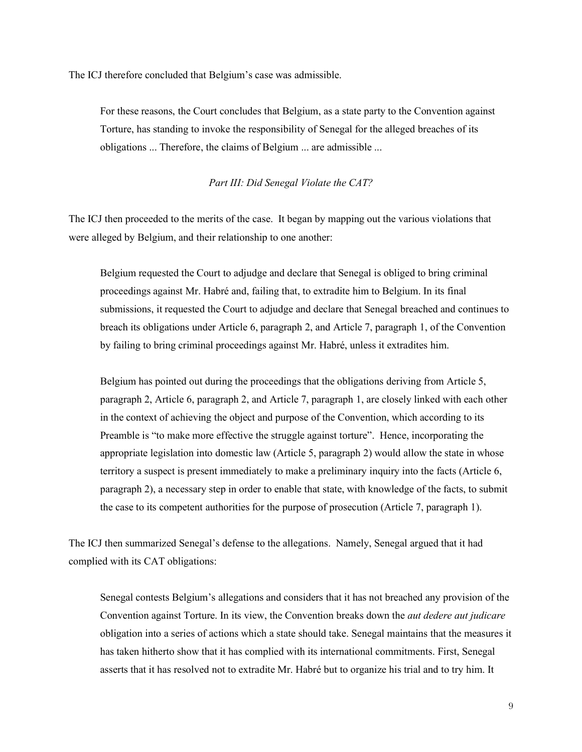The ICJ therefore concluded that Belgium's case was admissible.

For these reasons, the Court concludes that Belgium, as a state party to the Convention against Torture, has standing to invoke the responsibility of Senegal for the alleged breaches of its obligations ... Therefore, the claims of Belgium ... are admissible ...

### *Part III: Did Senegal Violate the CAT?*

The ICJ then proceeded to the merits of the case. It began by mapping out the various violations that were alleged by Belgium, and their relationship to one another:

Belgium requested the Court to adjudge and declare that Senegal is obliged to bring criminal proceedings against Mr. Habré and, failing that, to extradite him to Belgium. In its final submissions, it requested the Court to adjudge and declare that Senegal breached and continues to breach its obligations under Article 6, paragraph 2, and Article 7, paragraph 1, of the Convention by failing to bring criminal proceedings against Mr. Habré, unless it extradites him.

Belgium has pointed out during the proceedings that the obligations deriving from Article 5, paragraph 2, Article 6, paragraph 2, and Article 7, paragraph 1, are closely linked with each other in the context of achieving the object and purpose of the Convention, which according to its Preamble is "to make more effective the struggle against torture". Hence, incorporating the appropriate legislation into domestic law (Article 5, paragraph 2) would allow the state in whose territory a suspect is present immediately to make a preliminary inquiry into the facts (Article 6, paragraph 2), a necessary step in order to enable that state, with knowledge of the facts, to submit the case to its competent authorities for the purpose of prosecution (Article 7, paragraph 1).

The ICJ then summarized Senegal's defense to the allegations. Namely, Senegal argued that it had complied with its CAT obligations:

Senegal contests Belgium's allegations and considers that it has not breached any provision of the Convention against Torture. In its view, the Convention breaks down the *aut dedere aut judicare* obligation into a series of actions which a state should take. Senegal maintains that the measures it has taken hitherto show that it has complied with its international commitments. First, Senegal asserts that it has resolved not to extradite Mr. Habré but to organize his trial and to try him. It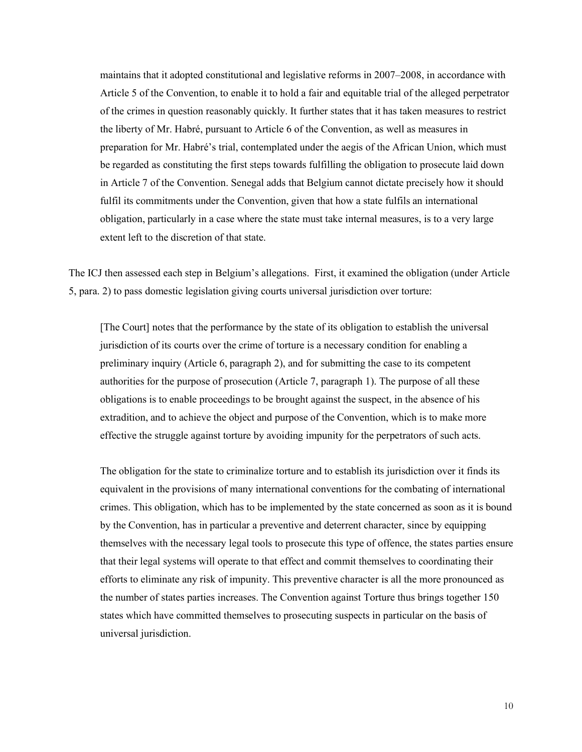maintains that it adopted constitutional and legislative reforms in 2007–2008, in accordance with Article 5 of the Convention, to enable it to hold a fair and equitable trial of the alleged perpetrator of the crimes in question reasonably quickly. It further states that it has taken measures to restrict the liberty of Mr. Habré, pursuant to Article 6 of the Convention, as well as measures in preparation for Mr. Habré's trial, contemplated under the aegis of the African Union, which must be regarded as constituting the first steps towards fulfilling the obligation to prosecute laid down in Article 7 of the Convention. Senegal adds that Belgium cannot dictate precisely how it should fulfil its commitments under the Convention, given that how a state fulfils an international obligation, particularly in a case where the state must take internal measures, is to a very large extent left to the discretion of that state.

The ICJ then assessed each step in Belgium's allegations. First, it examined the obligation (under Article 5, para. 2) to pass domestic legislation giving courts universal jurisdiction over torture:

[The Court] notes that the performance by the state of its obligation to establish the universal jurisdiction of its courts over the crime of torture is a necessary condition for enabling a preliminary inquiry (Article 6, paragraph 2), and for submitting the case to its competent authorities for the purpose of prosecution (Article 7, paragraph 1). The purpose of all these obligations is to enable proceedings to be brought against the suspect, in the absence of his extradition, and to achieve the object and purpose of the Convention, which is to make more effective the struggle against torture by avoiding impunity for the perpetrators of such acts.

The obligation for the state to criminalize torture and to establish its jurisdiction over it finds its equivalent in the provisions of many international conventions for the combating of international crimes. This obligation, which has to be implemented by the state concerned as soon as it is bound by the Convention, has in particular a preventive and deterrent character, since by equipping themselves with the necessary legal tools to prosecute this type of offence, the states parties ensure that their legal systems will operate to that effect and commit themselves to coordinating their efforts to eliminate any risk of impunity. This preventive character is all the more pronounced as the number of states parties increases. The Convention against Torture thus brings together 150 states which have committed themselves to prosecuting suspects in particular on the basis of universal jurisdiction.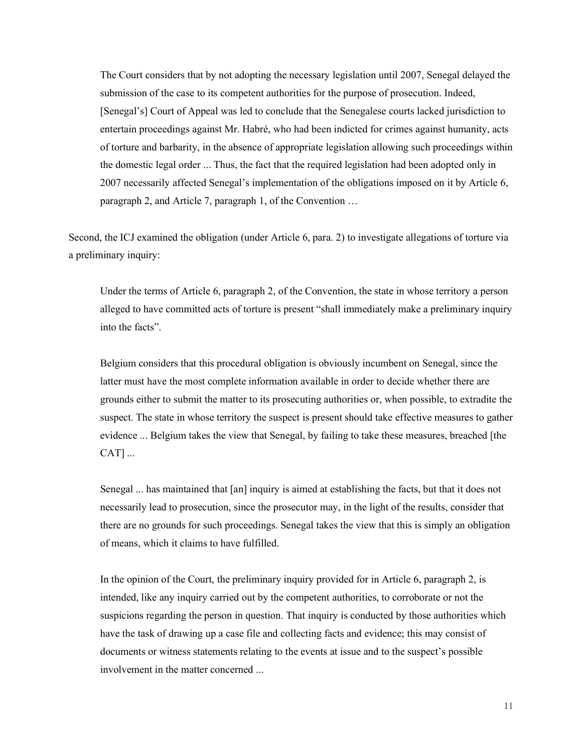The Court considers that by not adopting the necessary legislation until 2007, Senegal delayed the submission of the case to its competent authorities for the purpose of prosecution. Indeed, [Senegal's] Court of Appeal was led to conclude that the Senegalese courts lacked jurisdiction to entertain proceedings against Mr. Habré, who had been indicted for crimes against humanity, acts of torture and barbarity, in the absence of appropriate legislation allowing such proceedings within the domestic legal order ... Thus, the fact that the required legislation had been adopted only in 2007 necessarily affected Senegal's implementation of the obligations imposed on it by Article 6, paragraph 2, and Article 7, paragraph 1, of the Convention …

Second, the ICJ examined the obligation (under Article 6, para. 2) to investigate allegations of torture via a preliminary inquiry:

Under the terms of Article 6, paragraph 2, of the Convention, the state in whose territory a person alleged to have committed acts of torture is present "shall immediately make a preliminary inquiry into the facts".

Belgium considers that this procedural obligation is obviously incumbent on Senegal, since the latter must have the most complete information available in order to decide whether there are grounds either to submit the matter to its prosecuting authorities or, when possible, to extradite the suspect. The state in whose territory the suspect is present should take effective measures to gather evidence ... Belgium takes the view that Senegal, by failing to take these measures, breached [the CAT] ...

Senegal ... has maintained that [an] inquiry is aimed at establishing the facts, but that it does not necessarily lead to prosecution, since the prosecutor may, in the light of the results, consider that there are no grounds for such proceedings. Senegal takes the view that this is simply an obligation of means, which it claims to have fulfilled.

In the opinion of the Court, the preliminary inquiry provided for in Article 6, paragraph 2, is intended, like any inquiry carried out by the competent authorities, to corroborate or not the suspicions regarding the person in question. That inquiry is conducted by those authorities which have the task of drawing up a case file and collecting facts and evidence; this may consist of documents or witness statements relating to the events at issue and to the suspect's possible involvement in the matter concerned ...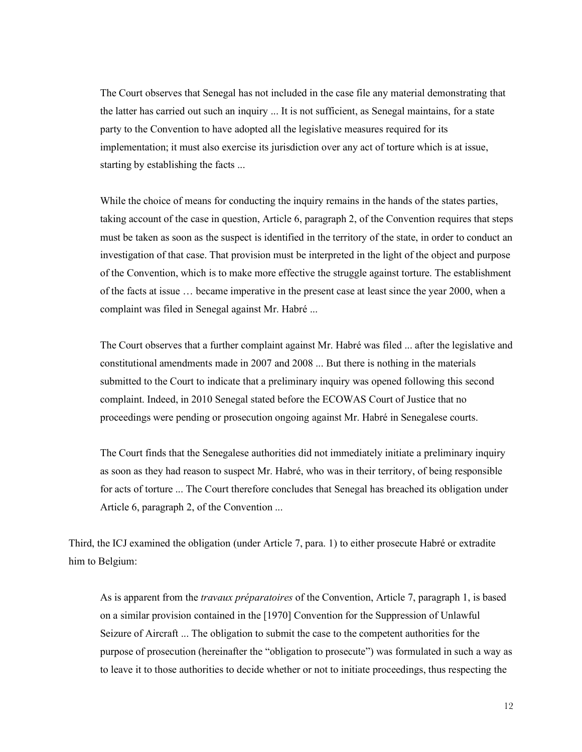The Court observes that Senegal has not included in the case file any material demonstrating that the latter has carried out such an inquiry ... It is not sufficient, as Senegal maintains, for a state party to the Convention to have adopted all the legislative measures required for its implementation; it must also exercise its jurisdiction over any act of torture which is at issue, starting by establishing the facts ...

While the choice of means for conducting the inquiry remains in the hands of the states parties, taking account of the case in question, Article 6, paragraph 2, of the Convention requires that steps must be taken as soon as the suspect is identified in the territory of the state, in order to conduct an investigation of that case. That provision must be interpreted in the light of the object and purpose of the Convention, which is to make more effective the struggle against torture. The establishment of the facts at issue … became imperative in the present case at least since the year 2000, when a complaint was filed in Senegal against Mr. Habré ...

The Court observes that a further complaint against Mr. Habré was filed ... after the legislative and constitutional amendments made in 2007 and 2008 ... But there is nothing in the materials submitted to the Court to indicate that a preliminary inquiry was opened following this second complaint. Indeed, in 2010 Senegal stated before the ECOWAS Court of Justice that no proceedings were pending or prosecution ongoing against Mr. Habré in Senegalese courts.

The Court finds that the Senegalese authorities did not immediately initiate a preliminary inquiry as soon as they had reason to suspect Mr. Habré, who was in their territory, of being responsible for acts of torture ... The Court therefore concludes that Senegal has breached its obligation under Article 6, paragraph 2, of the Convention ...

Third, the ICJ examined the obligation (under Article 7, para. 1) to either prosecute Habré or extradite him to Belgium:

As is apparent from the *travaux préparatoires* of the Convention, Article 7, paragraph 1, is based on a similar provision contained in the [1970] Convention for the Suppression of Unlawful Seizure of Aircraft ... The obligation to submit the case to the competent authorities for the purpose of prosecution (hereinafter the "obligation to prosecute") was formulated in such a way as to leave it to those authorities to decide whether or not to initiate proceedings, thus respecting the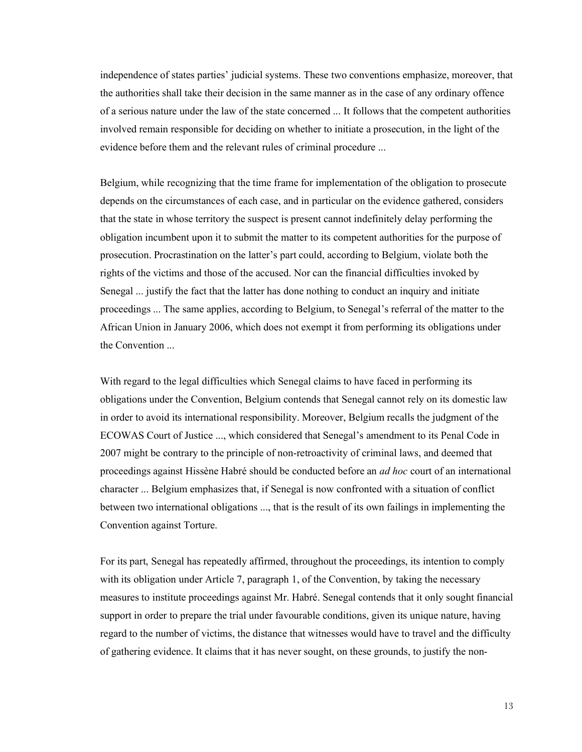independence of states parties' judicial systems. These two conventions emphasize, moreover, that the authorities shall take their decision in the same manner as in the case of any ordinary offence of a serious nature under the law of the state concerned ... It follows that the competent authorities involved remain responsible for deciding on whether to initiate a prosecution, in the light of the evidence before them and the relevant rules of criminal procedure ...

Belgium, while recognizing that the time frame for implementation of the obligation to prosecute depends on the circumstances of each case, and in particular on the evidence gathered, considers that the state in whose territory the suspect is present cannot indefinitely delay performing the obligation incumbent upon it to submit the matter to its competent authorities for the purpose of prosecution. Procrastination on the latter's part could, according to Belgium, violate both the rights of the victims and those of the accused. Nor can the financial difficulties invoked by Senegal ... justify the fact that the latter has done nothing to conduct an inquiry and initiate proceedings ... The same applies, according to Belgium, to Senegal's referral of the matter to the African Union in January 2006, which does not exempt it from performing its obligations under the Convention ...

With regard to the legal difficulties which Senegal claims to have faced in performing its obligations under the Convention, Belgium contends that Senegal cannot rely on its domestic law in order to avoid its international responsibility. Moreover, Belgium recalls the judgment of the ECOWAS Court of Justice ..., which considered that Senegal's amendment to its Penal Code in 2007 might be contrary to the principle of non-retroactivity of criminal laws, and deemed that proceedings against Hissène Habré should be conducted before an *ad hoc* court of an international character ... Belgium emphasizes that, if Senegal is now confronted with a situation of conflict between two international obligations ..., that is the result of its own failings in implementing the Convention against Torture.

For its part, Senegal has repeatedly affirmed, throughout the proceedings, its intention to comply with its obligation under Article 7, paragraph 1, of the Convention, by taking the necessary measures to institute proceedings against Mr. Habré. Senegal contends that it only sought financial support in order to prepare the trial under favourable conditions, given its unique nature, having regard to the number of victims, the distance that witnesses would have to travel and the difficulty of gathering evidence. It claims that it has never sought, on these grounds, to justify the non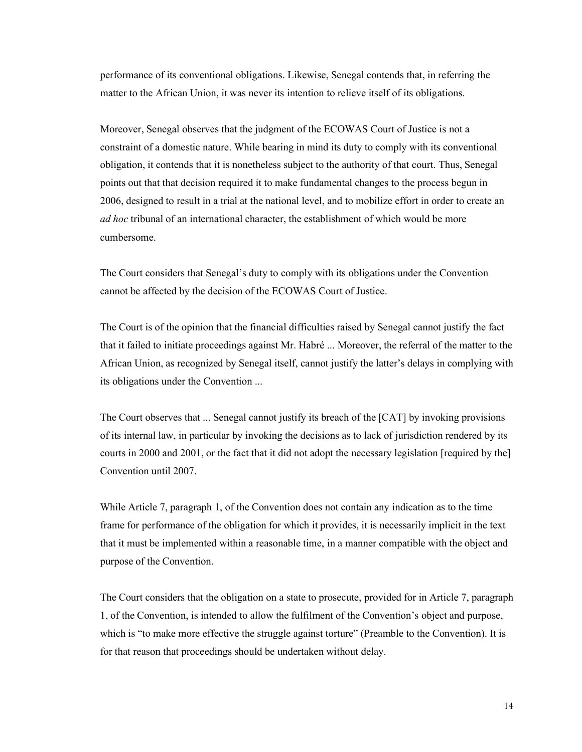performance of its conventional obligations. Likewise, Senegal contends that, in referring the matter to the African Union, it was never its intention to relieve itself of its obligations.

Moreover, Senegal observes that the judgment of the ECOWAS Court of Justice is not a constraint of a domestic nature. While bearing in mind its duty to comply with its conventional obligation, it contends that it is nonetheless subject to the authority of that court. Thus, Senegal points out that that decision required it to make fundamental changes to the process begun in 2006, designed to result in a trial at the national level, and to mobilize effort in order to create an *ad hoc* tribunal of an international character, the establishment of which would be more cumbersome.

The Court considers that Senegal's duty to comply with its obligations under the Convention cannot be affected by the decision of the ECOWAS Court of Justice.

The Court is of the opinion that the financial difficulties raised by Senegal cannot justify the fact that it failed to initiate proceedings against Mr. Habré ... Moreover, the referral of the matter to the African Union, as recognized by Senegal itself, cannot justify the latter's delays in complying with its obligations under the Convention ...

The Court observes that ... Senegal cannot justify its breach of the [CAT] by invoking provisions of its internal law, in particular by invoking the decisions as to lack of jurisdiction rendered by its courts in 2000 and 2001, or the fact that it did not adopt the necessary legislation [required by the] Convention until 2007.

While Article 7, paragraph 1, of the Convention does not contain any indication as to the time frame for performance of the obligation for which it provides, it is necessarily implicit in the text that it must be implemented within a reasonable time, in a manner compatible with the object and purpose of the Convention.

The Court considers that the obligation on a state to prosecute, provided for in Article 7, paragraph 1, of the Convention, is intended to allow the fulfilment of the Convention's object and purpose, which is "to make more effective the struggle against torture" (Preamble to the Convention). It is for that reason that proceedings should be undertaken without delay.